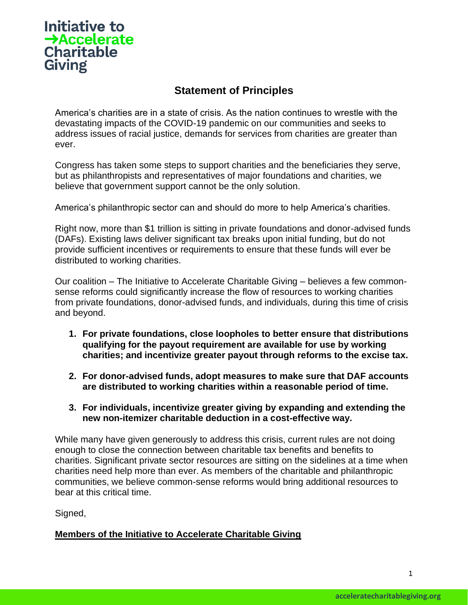## Initiative to  $\rightarrow$ Accelerate **Charitable Giving**

## **Statement of Principles**

America's charities are in a state of crisis. As the nation continues to wrestle with the devastating impacts of the COVID-19 pandemic on our communities and seeks to address issues of racial justice, demands for services from charities are greater than ever.

Congress has taken some steps to support charities and the beneficiaries they serve, but as philanthropists and representatives of major foundations and charities, we believe that government support cannot be the only solution.

America's philanthropic sector can and should do more to help America's charities.

Right now, more than \$1 trillion is sitting in private foundations and donor-advised funds (DAFs). Existing laws deliver significant tax breaks upon initial funding, but do not provide sufficient incentives or requirements to ensure that these funds will ever be distributed to working charities.

Our coalition – The Initiative to Accelerate Charitable Giving – believes a few commonsense reforms could significantly increase the flow of resources to working charities from private foundations, donor-advised funds, and individuals, during this time of crisis and beyond.

- **1. For private foundations, close loopholes to better ensure that distributions qualifying for the payout requirement are available for use by working charities; and incentivize greater payout through reforms to the excise tax.**
- **2. For donor-advised funds, adopt measures to make sure that DAF accounts are distributed to working charities within a reasonable period of time.**
- **3. For individuals, incentivize greater giving by expanding and extending the new non-itemizer charitable deduction in a cost-effective way.**

While many have given generously to address this crisis, current rules are not doing enough to close the connection between charitable tax benefits and benefits to charities. Significant private sector resources are sitting on the sidelines at a time when charities need help more than ever. As members of the charitable and philanthropic communities, we believe common-sense reforms would bring additional resources to bear at this critical time.

Signed,

## **Members of the Initiative to Accelerate Charitable Giving**